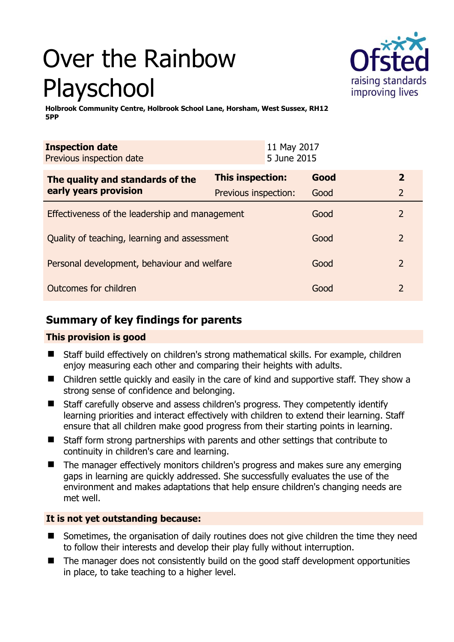# Over the Rainbow Playschool



**Holbrook Community Centre, Holbrook School Lane, Horsham, West Sussex, RH12 5PP** 

| <b>Inspection date</b><br>Previous inspection date |                         | 11 May 2017<br>5 June 2015 |      |                |
|----------------------------------------------------|-------------------------|----------------------------|------|----------------|
| The quality and standards of the                   | <b>This inspection:</b> |                            | Good | $\mathbf{2}$   |
| early years provision                              | Previous inspection:    |                            | Good | $\overline{2}$ |
| Effectiveness of the leadership and management     |                         |                            | Good | 2              |
| Quality of teaching, learning and assessment       |                         |                            | Good | 2              |
| Personal development, behaviour and welfare        |                         |                            | Good | 2              |
| Outcomes for children                              |                         |                            | Good | 2              |

# **Summary of key findings for parents**

## **This provision is good**

- Staff build effectively on children's strong mathematical skills. For example, children enjoy measuring each other and comparing their heights with adults.
- Children settle quickly and easily in the care of kind and supportive staff. They show a strong sense of confidence and belonging.
- Staff carefully observe and assess children's progress. They competently identify learning priorities and interact effectively with children to extend their learning. Staff ensure that all children make good progress from their starting points in learning.
- Staff form strong partnerships with parents and other settings that contribute to continuity in children's care and learning.
- The manager effectively monitors children's progress and makes sure any emerging gaps in learning are quickly addressed. She successfully evaluates the use of the environment and makes adaptations that help ensure children's changing needs are met well.

## **It is not yet outstanding because:**

- Sometimes, the organisation of daily routines does not give children the time they need to follow their interests and develop their play fully without interruption.
- The manager does not consistently build on the good staff development opportunities in place, to take teaching to a higher level.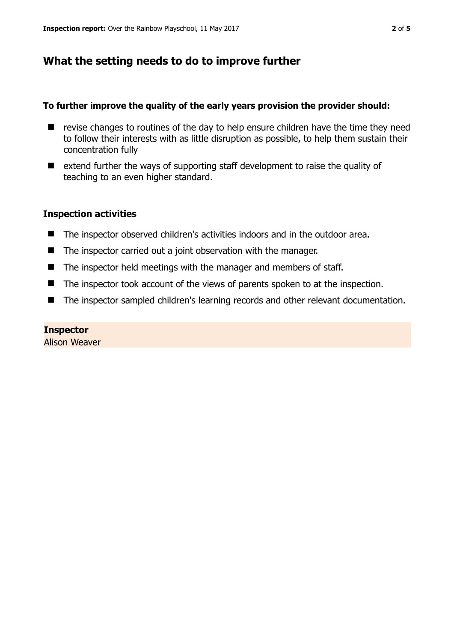# **What the setting needs to do to improve further**

#### **To further improve the quality of the early years provision the provider should:**

- $\blacksquare$  revise changes to routines of the day to help ensure children have the time they need to follow their interests with as little disruption as possible, to help them sustain their concentration fully
- extend further the ways of supporting staff development to raise the quality of teaching to an even higher standard.

#### **Inspection activities**

- The inspector observed children's activities indoors and in the outdoor area.
- The inspector carried out a joint observation with the manager.
- The inspector held meetings with the manager and members of staff.
- The inspector took account of the views of parents spoken to at the inspection.
- The inspector sampled children's learning records and other relevant documentation.

#### **Inspector**

Alison Weaver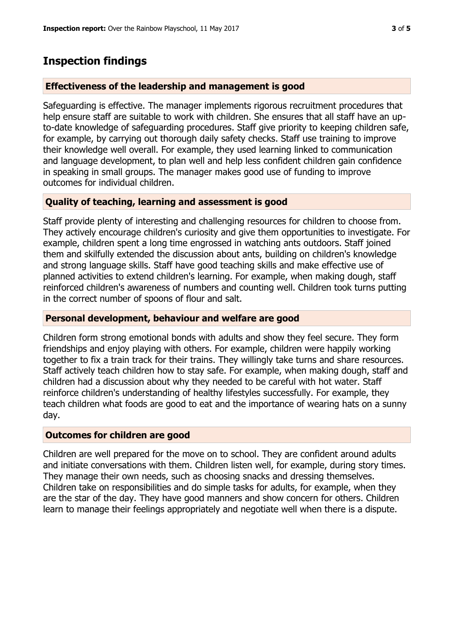# **Inspection findings**

### **Effectiveness of the leadership and management is good**

Safeguarding is effective. The manager implements rigorous recruitment procedures that help ensure staff are suitable to work with children. She ensures that all staff have an upto-date knowledge of safeguarding procedures. Staff give priority to keeping children safe, for example, by carrying out thorough daily safety checks. Staff use training to improve their knowledge well overall. For example, they used learning linked to communication and language development, to plan well and help less confident children gain confidence in speaking in small groups. The manager makes good use of funding to improve outcomes for individual children.

## **Quality of teaching, learning and assessment is good**

Staff provide plenty of interesting and challenging resources for children to choose from. They actively encourage children's curiosity and give them opportunities to investigate. For example, children spent a long time engrossed in watching ants outdoors. Staff joined them and skilfully extended the discussion about ants, building on children's knowledge and strong language skills. Staff have good teaching skills and make effective use of planned activities to extend children's learning. For example, when making dough, staff reinforced children's awareness of numbers and counting well. Children took turns putting in the correct number of spoons of flour and salt.

## **Personal development, behaviour and welfare are good**

Children form strong emotional bonds with adults and show they feel secure. They form friendships and enjoy playing with others. For example, children were happily working together to fix a train track for their trains. They willingly take turns and share resources. Staff actively teach children how to stay safe. For example, when making dough, staff and children had a discussion about why they needed to be careful with hot water. Staff reinforce children's understanding of healthy lifestyles successfully. For example, they teach children what foods are good to eat and the importance of wearing hats on a sunny day.

#### **Outcomes for children are good**

Children are well prepared for the move on to school. They are confident around adults and initiate conversations with them. Children listen well, for example, during story times. They manage their own needs, such as choosing snacks and dressing themselves. Children take on responsibilities and do simple tasks for adults, for example, when they are the star of the day. They have good manners and show concern for others. Children learn to manage their feelings appropriately and negotiate well when there is a dispute.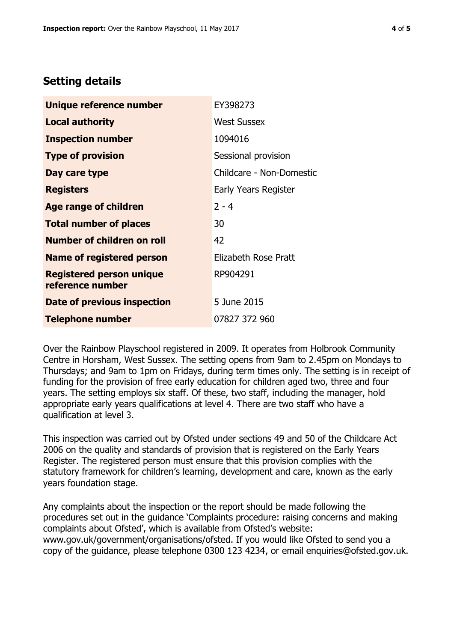# **Setting details**

| Unique reference number                             | EY398273                 |  |  |
|-----------------------------------------------------|--------------------------|--|--|
| <b>Local authority</b>                              | <b>West Sussex</b>       |  |  |
| <b>Inspection number</b>                            | 1094016                  |  |  |
| <b>Type of provision</b>                            | Sessional provision      |  |  |
| Day care type                                       | Childcare - Non-Domestic |  |  |
| <b>Registers</b>                                    | Early Years Register     |  |  |
| Age range of children                               | $2 - 4$                  |  |  |
| <b>Total number of places</b>                       | 30                       |  |  |
| <b>Number of children on roll</b>                   | 42                       |  |  |
| <b>Name of registered person</b>                    | Elizabeth Rose Pratt     |  |  |
| <b>Registered person unique</b><br>reference number | RP904291                 |  |  |
| Date of previous inspection                         | 5 June 2015              |  |  |
| <b>Telephone number</b>                             | 07827 372 960            |  |  |

Over the Rainbow Playschool registered in 2009. It operates from Holbrook Community Centre in Horsham, West Sussex. The setting opens from 9am to 2.45pm on Mondays to Thursdays; and 9am to 1pm on Fridays, during term times only. The setting is in receipt of funding for the provision of free early education for children aged two, three and four years. The setting employs six staff. Of these, two staff, including the manager, hold appropriate early years qualifications at level 4. There are two staff who have a qualification at level 3.

This inspection was carried out by Ofsted under sections 49 and 50 of the Childcare Act 2006 on the quality and standards of provision that is registered on the Early Years Register. The registered person must ensure that this provision complies with the statutory framework for children's learning, development and care, known as the early years foundation stage.

Any complaints about the inspection or the report should be made following the procedures set out in the guidance 'Complaints procedure: raising concerns and making complaints about Ofsted', which is available from Ofsted's website: www.gov.uk/government/organisations/ofsted. If you would like Ofsted to send you a copy of the guidance, please telephone 0300 123 4234, or email enquiries@ofsted.gov.uk.